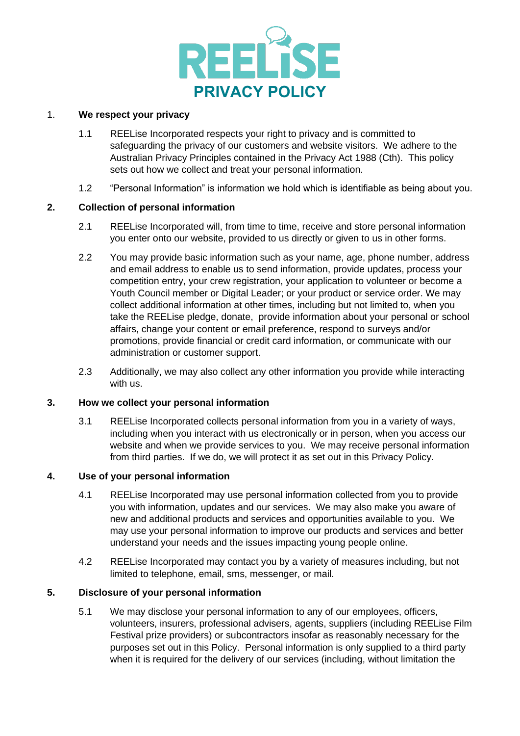

## 1. **We respect your privacy**

- 1.1 REELise Incorporated respects your right to privacy and is committed to safeguarding the privacy of our customers and website visitors. We adhere to the Australian Privacy Principles contained in the Privacy Act 1988 (Cth). This policy sets out how we collect and treat your personal information.
- 1.2 "Personal Information" is information we hold which is identifiable as being about you.

## **2. Collection of personal information**

- 2.1 REELise Incorporated will, from time to time, receive and store personal information you enter onto our website, provided to us directly or given to us in other forms.
- 2.2 You may provide basic information such as your name, age, phone number, address and email address to enable us to send information, provide updates, process your competition entry, your crew registration, your application to volunteer or become a Youth Council member or Digital Leader; or your product or service order. We may collect additional information at other times, including but not limited to, when you take the REELise pledge, donate, provide information about your personal or school affairs, change your content or email preference, respond to surveys and/or promotions, provide financial or credit card information, or communicate with our administration or customer support.
- 2.3 Additionally, we may also collect any other information you provide while interacting with us.

### **3. How we collect your personal information**

3.1 REELise Incorporated collects personal information from you in a variety of ways, including when you interact with us electronically or in person, when you access our website and when we provide services to you. We may receive personal information from third parties. If we do, we will protect it as set out in this Privacy Policy.

#### **4. Use of your personal information**

- 4.1 REELise Incorporated may use personal information collected from you to provide you with information, updates and our services. We may also make you aware of new and additional products and services and opportunities available to you. We may use your personal information to improve our products and services and better understand your needs and the issues impacting young people online.
- 4.2 REELise Incorporated may contact you by a variety of measures including, but not limited to telephone, email, sms, messenger, or mail.

# **5. Disclosure of your personal information**

5.1 We may disclose your personal information to any of our employees, officers, volunteers, insurers, professional advisers, agents, suppliers (including REELise Film Festival prize providers) or subcontractors insofar as reasonably necessary for the purposes set out in this Policy. Personal information is only supplied to a third party when it is required for the delivery of our services (including, without limitation the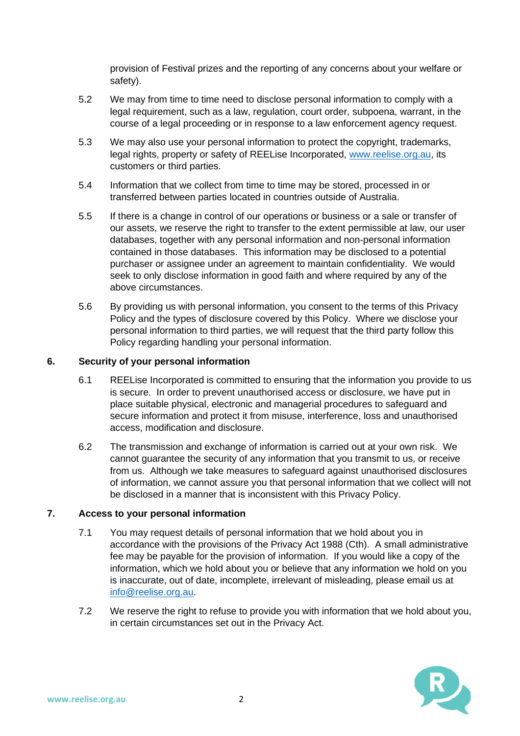provision of Festival prizes and the reporting of any concerns about your welfare or safety).

- 5.2 We may from time to time need to disclose personal information to comply with a legal requirement, such as a law, regulation, court order, subpoena, warrant, in the course of a legal proceeding or in response to a law enforcement agency request.
- 5.3 We may also use your personal information to protect the copyright, trademarks, legal rights, property or safety of REELise Incorporated, [www.reelise.org.au,](http://www.reelise.org.au/) its customers or third parties.
- 5.4 Information that we collect from time to time may be stored, processed in or transferred between parties located in countries outside of Australia.
- 5.5 If there is a change in control of our operations or business or a sale or transfer of our assets, we reserve the right to transfer to the extent permissible at law, our user databases, together with any personal information and non-personal information contained in those databases. This information may be disclosed to a potential purchaser or assignee under an agreement to maintain confidentiality. We would seek to only disclose information in good faith and where required by any of the above circumstances.
- 5.6 By providing us with personal information, you consent to the terms of this Privacy Policy and the types of disclosure covered by this Policy. Where we disclose your personal information to third parties, we will request that the third party follow this Policy regarding handling your personal information.

# **6. Security of your personal information**

- 6.1 REELise Incorporated is committed to ensuring that the information you provide to us is secure. In order to prevent unauthorised access or disclosure, we have put in place suitable physical, electronic and managerial procedures to safeguard and secure information and protect it from misuse, interference, loss and unauthorised access, modification and disclosure.
- 6.2 The transmission and exchange of information is carried out at your own risk. We cannot guarantee the security of any information that you transmit to us, or receive from us. Although we take measures to safeguard against unauthorised disclosures of information, we cannot assure you that personal information that we collect will not be disclosed in a manner that is inconsistent with this Privacy Policy.

### **7. Access to your personal information**

- 7.1 You may request details of personal information that we hold about you in accordance with the provisions of the Privacy Act 1988 (Cth). A small administrative fee may be payable for the provision of information. If you would like a copy of the information, which we hold about you or believe that any information we hold on you is inaccurate, out of date, incomplete, irrelevant of misleading, please email us at [info@reelise.org.au.](mailto:info@reelise.org.au)
- 7.2 We reserve the right to refuse to provide you with information that we hold about you, in certain circumstances set out in the Privacy Act.